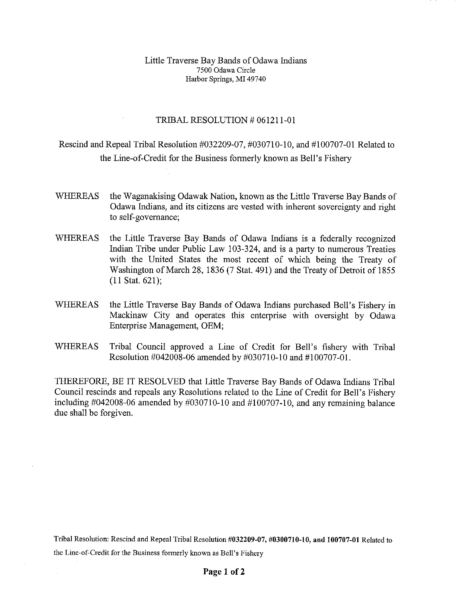## Little Traverse Bay Bands of Odawa Indians 7500 Odawa Circle Harbor Springs, MI 49740

## TRIBAL RESOLUTION # 061211-01

## Rescind and Repeal Tribal Resolution #032209-07, #030710-10, and #100707-01 Related to the Line-of-Credit for the Business formerly known as Bell's Fishery

- WHEREAS the Waganakising Odawak Nation, known as the Little Traverse Bay Bands of Odawa Indians, and its citizens are vested with inherent sovereignty and right to self-governance;
- WHEREAS the Little Traverse Bay Bands of Odawa Indians is a federally recognized Indian Tribe under Public Law 103-324, and is a party to numerous Treaties with the United States the most recent of which being the Treaty of Washington of March 28, 1836 (7 Stat. 491) and the Treaty of Detroit of 1855 (11 Stat. 621);
- WHEREAS the Little Traverse Bay Bands of Odawa Indians purchased Bell's Fishery in Mackinaw City and operates this enterprise with oversight by Odawa Enterprise Management, OEM;
- WHEREAS Tribal Council approved a Line of Credit for Bell's fishery with Tribal Resolution #042008-06 amended by #030710-10 and #100707-01.

THEREFORE, BE IT RESOLVED that Little Traverse Bay Bands of Odawa Indians Tribal Council rescinds and repeals any Resolutions related to the Line of Credit for Bell's Fishery including #042008-06 amended by #030710-10 and #100707-10, and any remaining balance due shall be forgiven.

Tribal Resolution: Rescind and Repeal Tribal Resolution **#032209-07, #0300710-10, and 100707-01** Related to the Line-of-Credit for the Business formerly known as Bell's Fishery